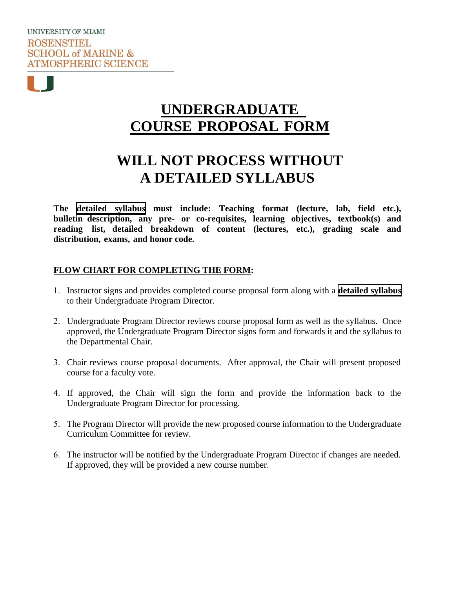# **UNDERGRADUATE COURSE PROPOSAL FORM**

# **WILL NOT PROCESS WITHOUT A DETAILED SYLLABUS**

**The detailed syllabus must include: Teaching format (lecture, lab, field etc.), bulletin description, any pre- or co-requisites, learning objectives, textbook(s) and reading list, detailed breakdown of content (lectures, etc.), grading scale and distribution, exams, and honor code.** 

## **FLOW CHART FOR COMPLETING THE FORM:**

- 1. Instructor signs and provides completed course proposal form along with a **detailed syllabus** to their Undergraduate Program Director.
- 2. Undergraduate Program Director reviews course proposal form as well as the syllabus. Once approved, the Undergraduate Program Director signs form and forwards it and the syllabus to the Departmental Chair.
- 3. Chair reviews course proposal documents. After approval, the Chair will present proposed course for a faculty vote.
- 4. If approved, the Chair will sign the form and provide the information back to the Undergraduate Program Director for processing.
- 5. The Program Director will provide the new proposed course information to the Undergraduate Curriculum Committee for review.
- 6. The instructor will be notified by the Undergraduate Program Director if changes are needed. If approved, they will be provided a new course number.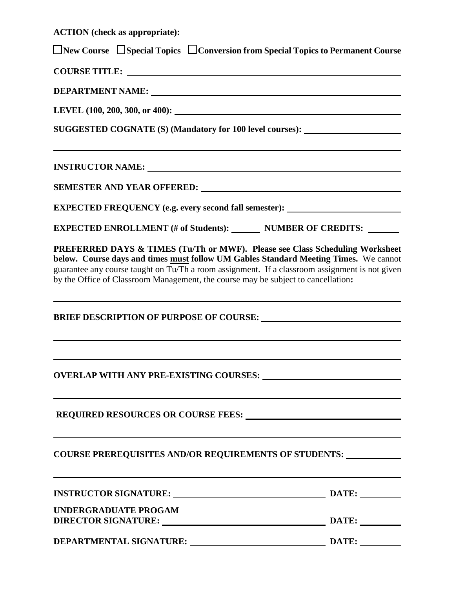**ACTION (check as appropriate):** 

☐ **New Course** ☐ **Special Topics** ☐ **Conversion from Special Topics to Permanent Course**

**COURSE TITLE:** 

**DEPARTMENT NAME:**

**LEVEL (100, 200, 300, or 400):**

**SUGGESTED COGNATE (S) (Mandatory for 100 level courses):** 

**INSTRUCTOR NAME:** 

| <b>SEMESTER AND YEAR OFFERED:</b> |  |  |  |  |
|-----------------------------------|--|--|--|--|
|-----------------------------------|--|--|--|--|

**EXPECTED FREQUENCY (e.g. every second fall semester):**

**EXPECTED ENROLLMENT (# of Students): NUMBER OF CREDITS:** 

**PREFERRED DAYS & TIMES (Tu/Th or MWF). Please see Class Scheduling Worksheet below. Course days and times must follow UM Gables Standard Meeting Times.** We cannot guarantee any course taught on Tu/Th a room assignment. If a classroom assignment is not given by the Office of Classroom Management, the course may be subject to cancellation**:**

**BRIEF DESCRIPTION OF PURPOSE OF COURSE:** 

**OVERLAP WITH ANY PRE-EXISTING COURSES:**

**REQUIRED RESOURCES OR COURSE FEES:**

**COURSE PREREQUISITES AND/OR REQUIREMENTS OF STUDENTS:** 

| <b>INSTRUCTOR SIGNATURE:</b>                       | DATE: |
|----------------------------------------------------|-------|
| UNDERGRADUATE PROGAM<br><b>DIRECTOR SIGNATURE:</b> | DATE: |
| DEPARTMENTAL SIGNATURE:                            | DATE: |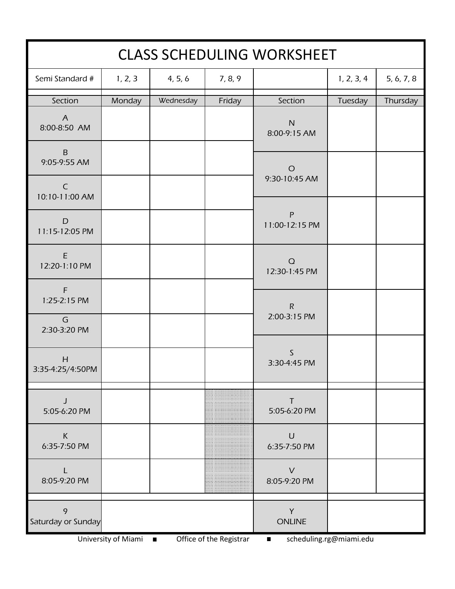| <b>CLASS SCHEDULING WORKSHEET</b> |         |           |         |                             |            |            |
|-----------------------------------|---------|-----------|---------|-----------------------------|------------|------------|
| Semi Standard #                   | 1, 2, 3 | 4, 5, 6   | 7, 8, 9 |                             | 1, 2, 3, 4 | 5, 6, 7, 8 |
| Section                           | Monday  | Wednesday | Friday  | Section                     | Tuesday    | Thursday   |
| $\overline{A}$<br>8:00-8:50 AM    |         |           |         | ${\sf N}$<br>8:00-9:15 AM   |            |            |
| $\sf B$<br>9:05-9:55 AM           |         |           |         | $\circ$                     |            |            |
| $\mathsf{C}$<br>10:10-11:00 AM    |         |           |         | 9:30-10:45 AM               |            |            |
| D<br>11:15-12:05 PM               |         |           |         | P<br>11:00-12:15 PM         |            |            |
| $\mathsf E$<br>12:20-1:10 PM      |         |           |         | $\Omega$<br>12:30-1:45 PM   |            |            |
| $\mathsf F$<br>1:25-2:15 PM       |         |           |         | $\mathsf{R}$                |            |            |
| G<br>2:30-3:20 PM                 |         |           |         | 2:00-3:15 PM                |            |            |
| H<br>3:35-4:25/4:50PM             |         |           |         | $\mathsf S$<br>3:30-4:45 PM |            |            |
| J<br>5:05-6:20 PM                 |         |           |         | T<br>5:05-6:20 PM           |            |            |
| $\sf K$<br>6:35-7:50 PM           |         |           |         | $\cup$<br>6:35-7:50 PM      |            |            |
| L<br>8:05-9:20 PM                 |         |           |         | $\vee$<br>8:05-9:20 PM      |            |            |
| 9<br>Saturday or Sunday           |         |           |         | Y<br><b>ONLINE</b>          |            |            |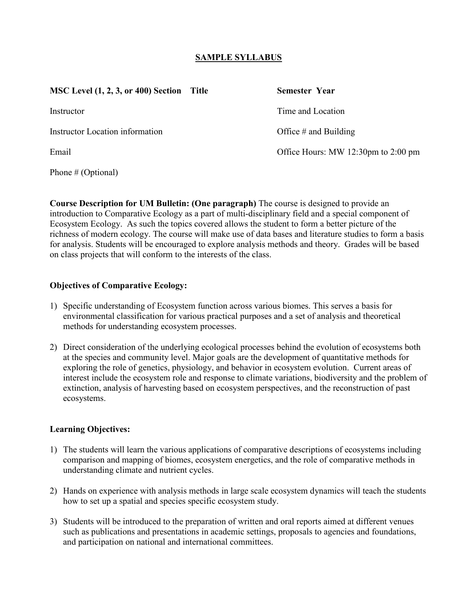## **SAMPLE SYLLABUS**

| <b>MSC Level (1, 2, 3, or 400) Section</b><br>Title | Semester Year                       |
|-----------------------------------------------------|-------------------------------------|
| Instructor                                          | Time and Location                   |
| <b>Instructor Location information</b>              | Office $#$ and Building             |
| Email                                               | Office Hours: MW 12:30pm to 2:00 pm |
| Phone # (Optional)                                  |                                     |

**Course Description for UM Bulletin: (One paragraph)** The course is designed to provide an introduction to Comparative Ecology as a part of multi-disciplinary field and a special component of Ecosystem Ecology. As such the topics covered allows the student to form a better picture of the richness of modern ecology. The course will make use of data bases and literature studies to form a basis for analysis. Students will be encouraged to explore analysis methods and theory. Grades will be based on class projects that will conform to the interests of the class.

#### **Objectives of Comparative Ecology:**

- 1) Specific understanding of Ecosystem function across various biomes. This serves a basis for environmental classification for various practical purposes and a set of analysis and theoretical methods for understanding ecosystem processes.
- 2) Direct consideration of the underlying ecological processes behind the evolution of ecosystems both at the species and community level. Major goals are the development of quantitative methods for exploring the role of genetics, physiology, and behavior in ecosystem evolution. Current areas of interest include the ecosystem role and response to climate variations, biodiversity and the problem of extinction, analysis of harvesting based on ecosystem perspectives, and the reconstruction of past ecosystems.

### **Learning Objectives:**

- 1) The students will learn the various applications of comparative descriptions of ecosystems including comparison and mapping of biomes, ecosystem energetics, and the role of comparative methods in understanding climate and nutrient cycles.
- 2) Hands on experience with analysis methods in large scale ecosystem dynamics will teach the students how to set up a spatial and species specific ecosystem study.
- 3) Students will be introduced to the preparation of written and oral reports aimed at different venues such as publications and presentations in academic settings, proposals to agencies and foundations, and participation on national and international committees.